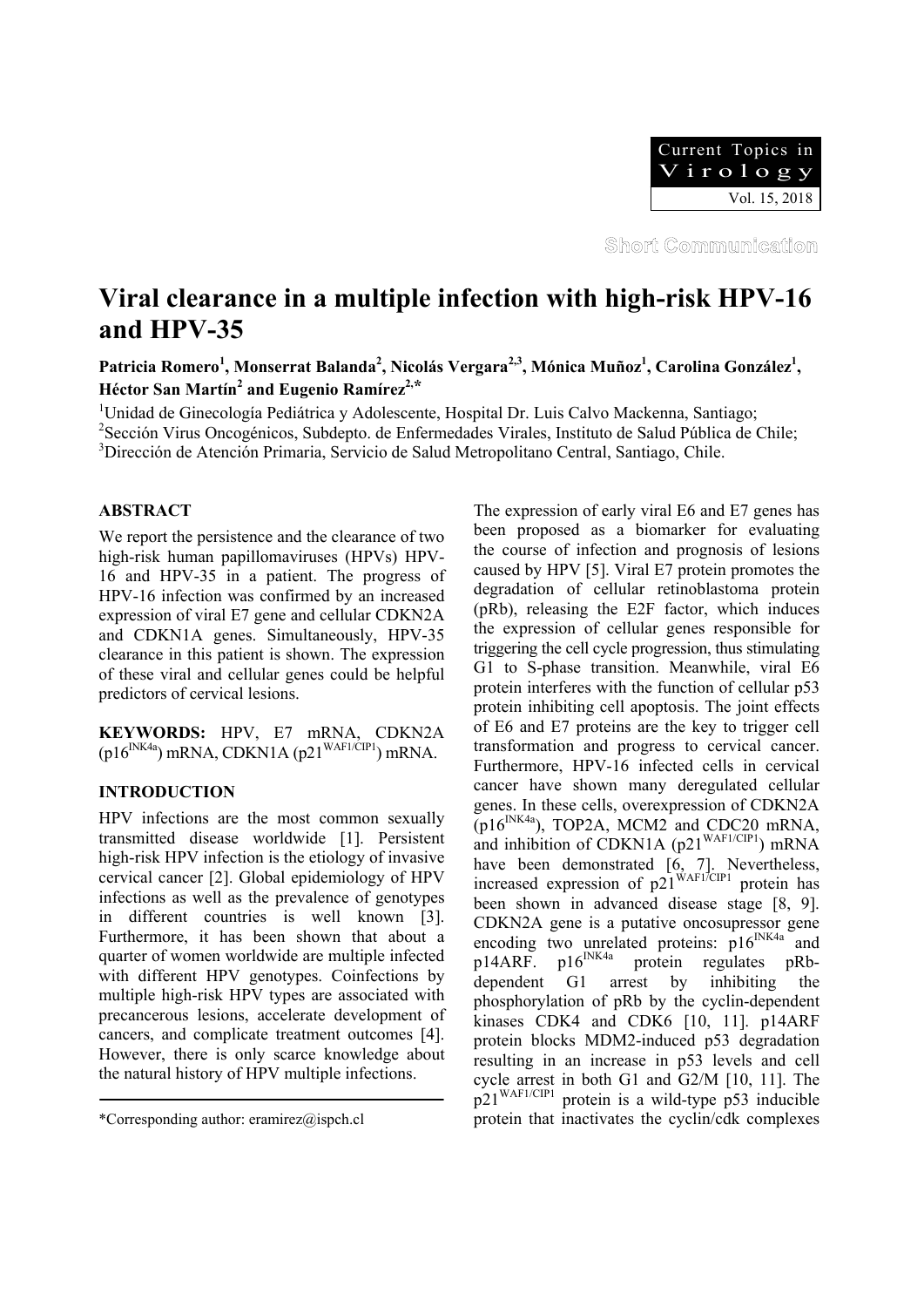

Short Communication

# **Viral clearance in a multiple infection with high-risk HPV-16 and HPV-35**

Patricia Romero<sup>1</sup>, Monserrat Balanda<sup>2</sup>, Nicolás Vergara<sup>2,3</sup>, Mónica Muñoz<sup>1</sup>, Carolina González<sup>1</sup>, **Héctor San Martín<sup>2</sup> and Eugenio Ramírez<sup>2,\*</sup>** 

<sup>1</sup>Unidad de Ginecología Pediátrica y Adolescente, Hospital Dr. Luis Calvo Mackenna, Santiago;

<sup>2</sup> Sección Virus Oncogénicos, Subdepto. de Enfermedades Virales, Instituto de Salud Pública de Chile;

3 Dirección de Atención Primaria, Servicio de Salud Metropolitano Central, Santiago, Chile.

## **ABSTRACT**

We report the persistence and the clearance of two high-risk human papillomaviruses (HPVs) HPV-16 and HPV-35 in a patient. The progress of HPV-16 infection was confirmed by an increased expression of viral E7 gene and cellular CDKN2A and CDKN1A genes. Simultaneously, HPV-35 clearance in this patient is shown. The expression of these viral and cellular genes could be helpful predictors of cervical lesions.

**KEYWORDS:** HPV, E7 mRNA, CDKN2A  $(p16^{INK4a})$  mRNA, CDKN1A  $(p21^{WAFI/CIP1})$  mRNA.

# **INTRODUCTION**

HPV infections are the most common sexually transmitted disease worldwide [1]. Persistent high-risk HPV infection is the etiology of invasive cervical cancer [2]. Global epidemiology of HPV infections as well as the prevalence of genotypes in different countries is well known [3]. Furthermore, it has been shown that about a quarter of women worldwide are multiple infected with different HPV genotypes. Coinfections by multiple high-risk HPV types are associated with precancerous lesions, accelerate development of cancers, and complicate treatment outcomes [4]. However, there is only scarce knowledge about the natural history of HPV multiple infections.

The expression of early viral E6 and E7 genes has been proposed as a biomarker for evaluating the course of infection and prognosis of lesions caused by HPV [5]. Viral E7 protein promotes the degradation of cellular retinoblastoma protein (pRb), releasing the E2F factor, which induces the expression of cellular genes responsible for triggering the cell cycle progression, thus stimulating G1 to S-phase transition. Meanwhile, viral E6 protein interferes with the function of cellular p53 protein inhibiting cell apoptosis. The joint effects of E6 and E7 proteins are the key to trigger cell transformation and progress to cervical cancer. Furthermore, HPV-16 infected cells in cervical cancer have shown many deregulated cellular genes. In these cells, overexpression of CDKN2A  $(p16^{INK4a})$ , TOP2A, MCM2 and CDC20 mRNA, and inhibition of CDKN1A ( $p21^{WAF1/CIP1}$ ) mRNA have been demonstrated [6, 7]. Nevertheless, increased expression of  $p21^{WAF1\overline{CIP1}}$  protein has been shown in advanced disease stage [8, 9]. CDKN2A gene is a putative oncosupressor gene encoding two unrelated proteins:  $p16^{INK4a}$  and  $p14ARF$ .  $p16^{INK4a}$  protein regulates pRb $p14ARF$ .  $p16^{INK4a}$  protein regulates pRbdependent G1 arrest by inhibiting the phosphorylation of pRb by the cyclin-dependent kinases CDK4 and CDK6 [10, 11]. p14ARF protein blocks MDM2-induced p53 degradation resulting in an increase in p53 levels and cell cycle arrest in both G1 and G2/M [10, 11]. The p21WAF1/CIP1 protein is a wild-type p53 inducible protein that inactivates the cyclin/cdk complexes

<sup>\*</sup>Corresponding author: eramirez@ispch.cl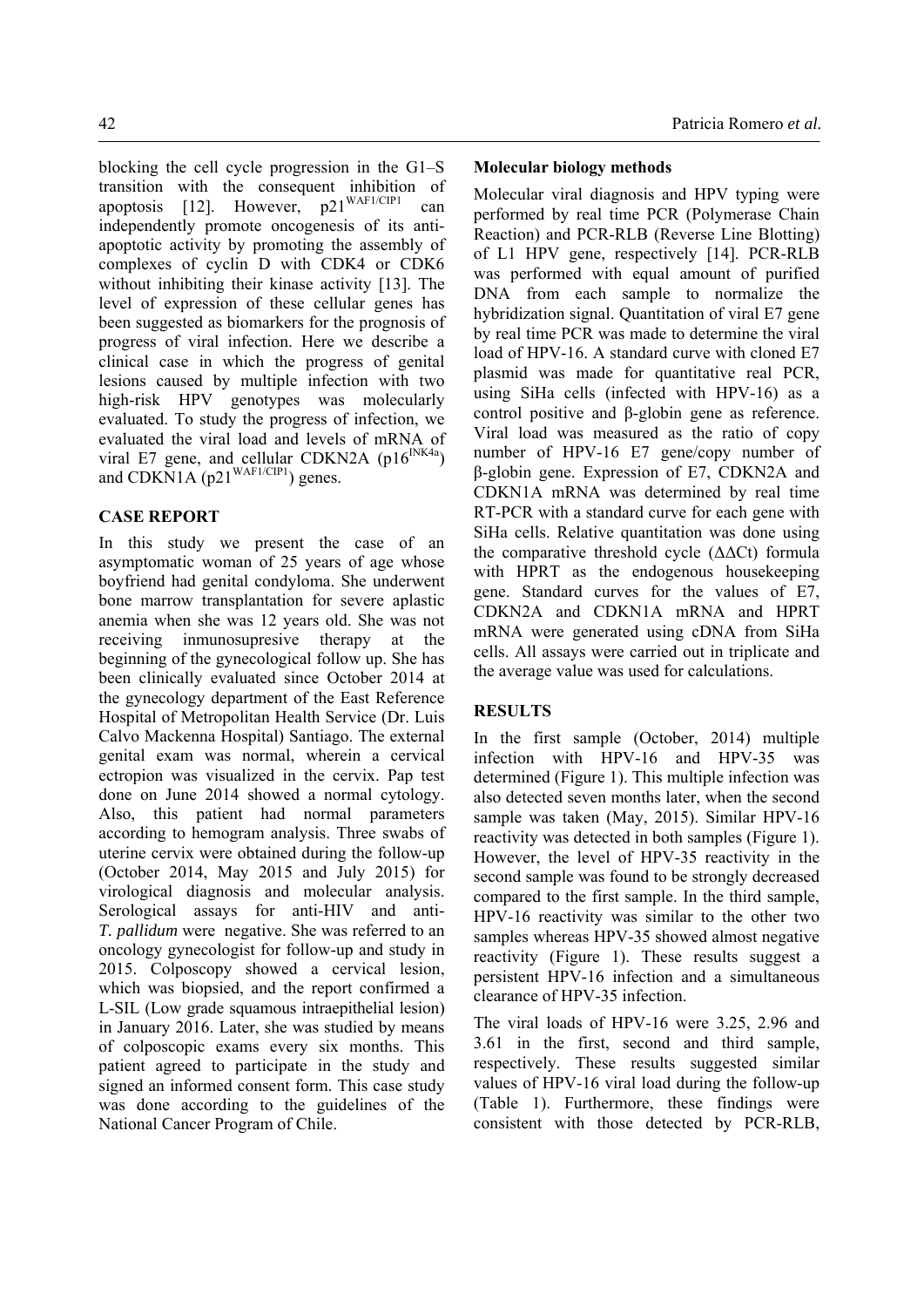blocking the cell cycle progression in the G1–S transition with the consequent inhibition of apoptosis [12]. However, p21<sup>WAF1/CIP1</sup> can independently promote oncogenesis of its antiapoptotic activity by promoting the assembly of complexes of cyclin D with CDK4 or CDK6 without inhibiting their kinase activity [13]. The level of expression of these cellular genes has been suggested as biomarkers for the prognosis of progress of viral infection. Here we describe a clinical case in which the progress of genital lesions caused by multiple infection with two high-risk HPV genotypes was molecularly evaluated. To study the progress of infection, we evaluated the viral load and levels of mRNA of viral E7 gene, and cellular CDKN2A ( $p16^{INK4a}$ ) and CDKN1A (p21<sup>WAF1/CIP1</sup>) genes.

# **CASE REPORT**

In this study we present the case of an asymptomatic woman of 25 years of age whose boyfriend had genital condyloma. She underwent bone marrow transplantation for severe aplastic anemia when she was 12 years old. She was not receiving inmunosupresive therapy at the beginning of the gynecological follow up. She has been clinically evaluated since October 2014 at the gynecology department of the East Reference Hospital of Metropolitan Health Service (Dr. Luis Calvo Mackenna Hospital) Santiago. The external genital exam was normal, wherein a cervical ectropion was visualized in the cervix. Pap test done on June 2014 showed a normal cytology. Also, this patient had normal parameters according to hemogram analysis. Three swabs of uterine cervix were obtained during the follow-up (October 2014, May 2015 and July 2015) for virological diagnosis and molecular analysis. Serological assays for anti-HIV and anti-*T. pallidum* were negative. She was referred to an oncology gynecologist for follow-up and study in 2015. Colposcopy showed a cervical lesion, which was biopsied, and the report confirmed a L-SIL (Low grade squamous intraepithelial lesion) in January 2016. Later, she was studied by means of colposcopic exams every six months. This patient agreed to participate in the study and signed an informed consent form. This case study was done according to the guidelines of the National Cancer Program of Chile.

# **Molecular biology methods**

Molecular viral diagnosis and HPV typing were performed by real time PCR (Polymerase Chain Reaction) and PCR-RLB (Reverse Line Blotting) of L1 HPV gene, respectively [14]. PCR-RLB was performed with equal amount of purified DNA from each sample to normalize the hybridization signal. Quantitation of viral E7 gene by real time PCR was made to determine the viral load of HPV-16. A standard curve with cloned E7 plasmid was made for quantitative real PCR, using SiHa cells (infected with HPV-16) as a control positive and β-globin gene as reference. Viral load was measured as the ratio of copy number of HPV-16 E7 gene/copy number of β-globin gene. Expression of E7, CDKN2A and CDKN1A mRNA was determined by real time RT-PCR with a standard curve for each gene with SiHa cells. Relative quantitation was done using the comparative threshold cycle (ΔΔCt) formula with HPRT as the endogenous housekeeping gene. Standard curves for the values of E7, CDKN2A and CDKN1A mRNA and HPRT mRNA were generated using cDNA from SiHa cells. All assays were carried out in triplicate and the average value was used for calculations.

# **RESULTS**

In the first sample (October, 2014) multiple infection with HPV-16 and HPV-35 was determined (Figure 1). This multiple infection was also detected seven months later, when the second sample was taken (May, 2015). Similar HPV-16 reactivity was detected in both samples (Figure 1). However, the level of HPV-35 reactivity in the second sample was found to be strongly decreased compared to the first sample. In the third sample, HPV-16 reactivity was similar to the other two samples whereas HPV-35 showed almost negative reactivity (Figure 1). These results suggest a persistent HPV-16 infection and a simultaneous clearance of HPV-35 infection.

The viral loads of HPV-16 were 3.25, 2.96 and 3.61 in the first, second and third sample, respectively. These results suggested similar values of HPV-16 viral load during the follow-up (Table 1). Furthermore, these findings were consistent with those detected by PCR-RLB,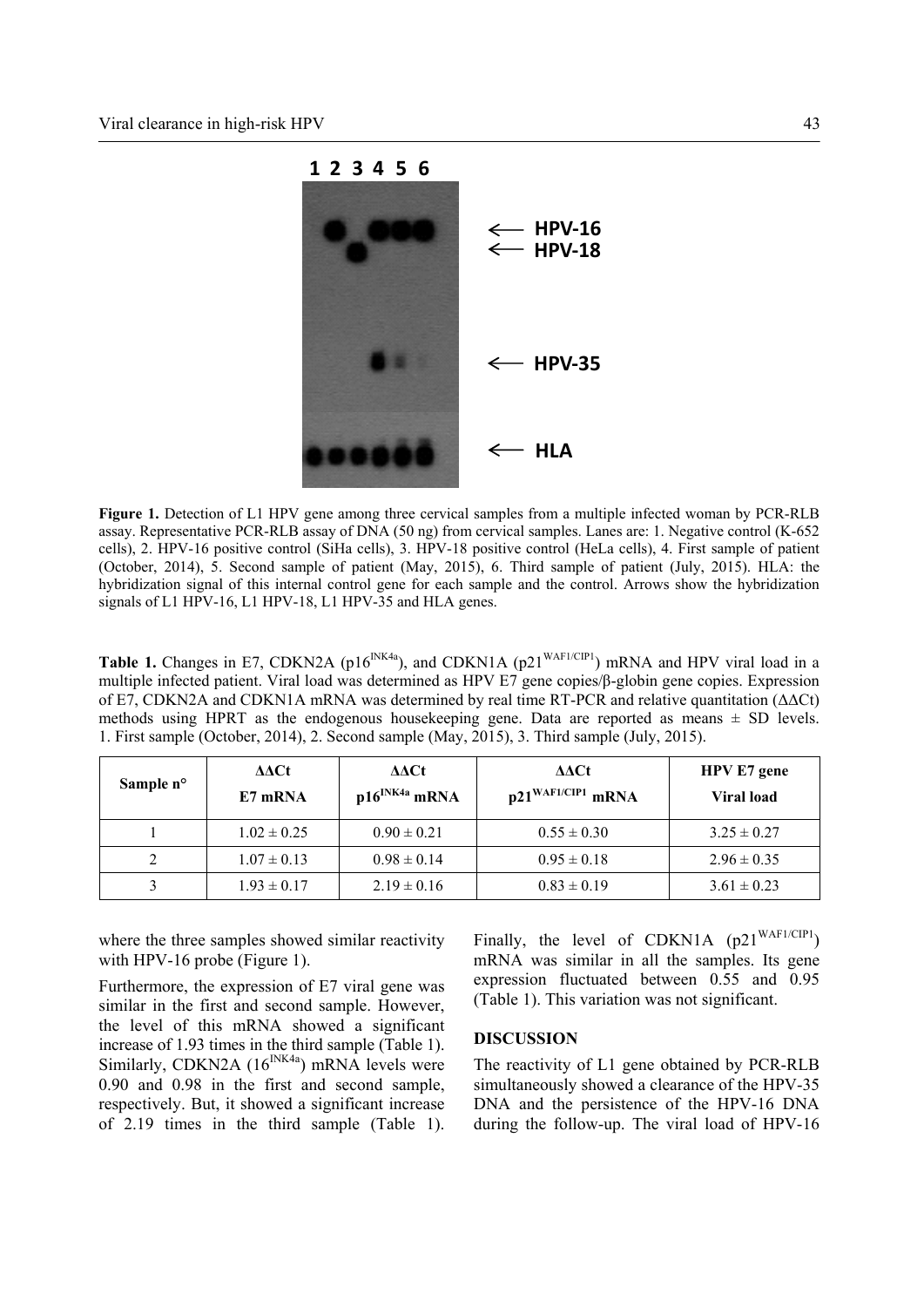

**Figure 1.** Detection of L1 HPV gene among three cervical samples from a multiple infected woman by PCR-RLB assay. Representative PCR-RLB assay of DNA (50 ng) from cervical samples. Lanes are: 1. Negative control (K-652 cells), 2. HPV-16 positive control (SiHa cells), 3. HPV-18 positive control (HeLa cells), 4. First sample of patient (October, 2014), 5. Second sample of patient (May, 2015), 6. Third sample of patient (July, 2015). HLA: the hybridization signal of this internal control gene for each sample and the control. Arrows show the hybridization signals of L1 HPV-16, L1 HPV-18, L1 HPV-35 and HLA genes.

Table 1. Changes in E7, CDKN2A (p16<sup>INK4a</sup>), and CDKN1A (p21<sup>WAF1/CIP1</sup>) mRNA and HPV viral load in a multiple infected patient. Viral load was determined as HPV E7 gene copies/β-globin gene copies. Expression of E7, CDKN2A and CDKN1A mRNA was determined by real time RT-PCR and relative quantitation (ΔΔCt) methods using HPRT as the endogenous housekeeping gene. Data are reported as means  $\pm$  SD levels. 1. First sample (October, 2014), 2. Second sample (May, 2015), 3. Third sample (July, 2015).

| Sample n° | ΔΔCt<br>E7 mRNA | ΔΔCt<br>$p16^{INK4a}$ mRNA | ∆∆Ct<br>$p21^{\text{WAFI/CIP1}}$ mRNA | <b>HPV E7</b> gene<br><b>Viral load</b> |
|-----------|-----------------|----------------------------|---------------------------------------|-----------------------------------------|
|           | $1.02 \pm 0.25$ | $0.90 \pm 0.21$            | $0.55 \pm 0.30$                       | $3.25 \pm 0.27$                         |
|           | $1.07 \pm 0.13$ | $0.98 \pm 0.14$            | $0.95 \pm 0.18$                       | $2.96 \pm 0.35$                         |
|           | $1.93 \pm 0.17$ | $2.19 \pm 0.16$            | $0.83 \pm 0.19$                       | $3.61 \pm 0.23$                         |

where the three samples showed similar reactivity with HPV-16 probe (Figure 1).

Furthermore, the expression of E7 viral gene was similar in the first and second sample. However, the level of this mRNA showed a significant increase of 1.93 times in the third sample (Table 1). Similarly, CDKN2A  $(16^{INK4a})$  mRNA levels were 0.90 and 0.98 in the first and second sample, respectively. But, it showed a significant increase of 2.19 times in the third sample (Table 1). Finally, the level of CDKN1A  $(p21^{WAF1/CIP1})$ mRNA was similar in all the samples. Its gene expression fluctuated between 0.55 and 0.95 (Table 1). This variation was not significant.

## **DISCUSSION**

The reactivity of L1 gene obtained by PCR-RLB simultaneously showed a clearance of the HPV-35 DNA and the persistence of the HPV-16 DNA during the follow-up. The viral load of HPV-16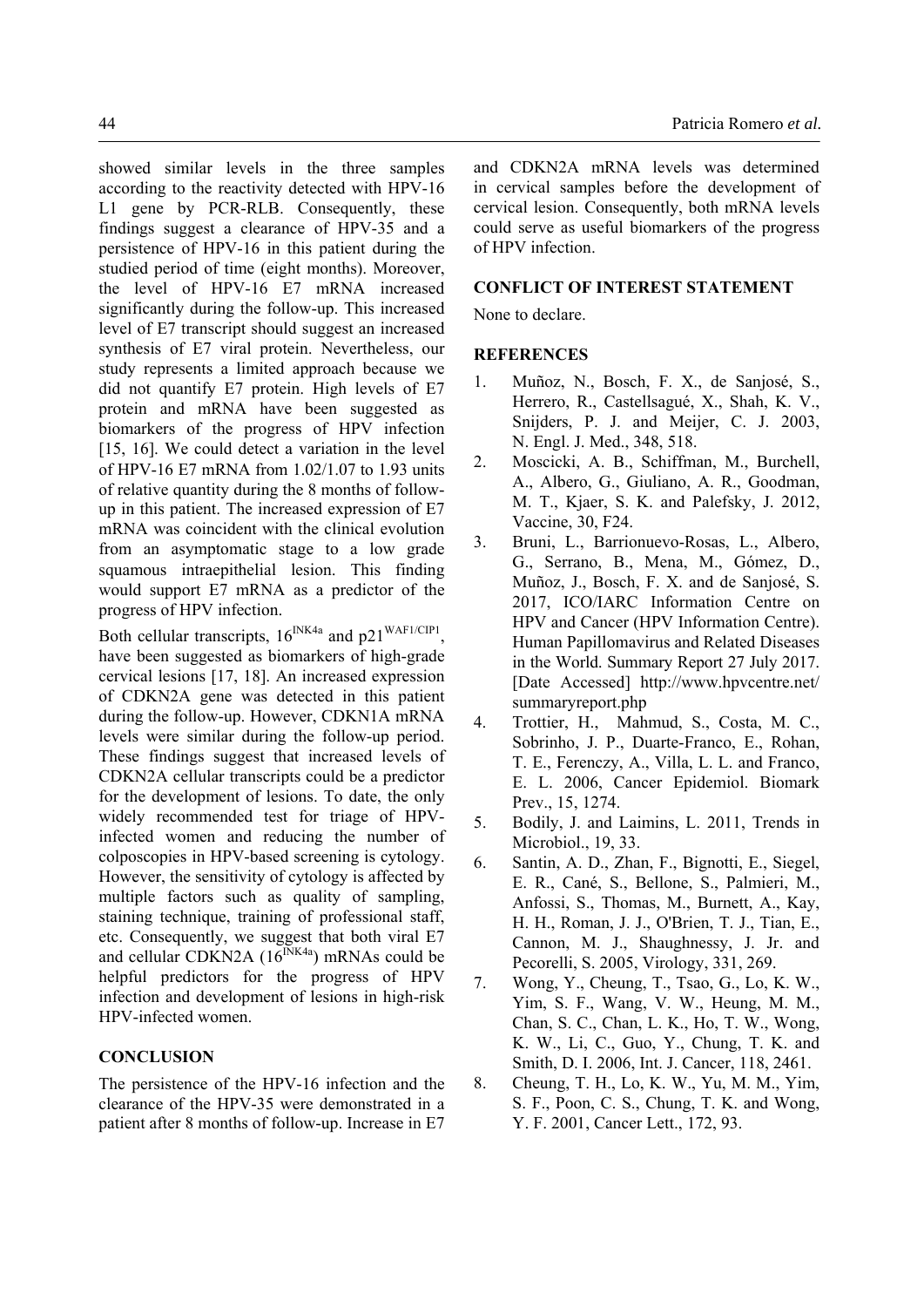showed similar levels in the three samples according to the reactivity detected with HPV-16 L1 gene by PCR-RLB. Consequently, these findings suggest a clearance of HPV-35 and a persistence of HPV-16 in this patient during the studied period of time (eight months). Moreover, the level of HPV-16 E7 mRNA increased significantly during the follow-up. This increased level of E7 transcript should suggest an increased synthesis of E7 viral protein. Nevertheless, our study represents a limited approach because we did not quantify E7 protein. High levels of E7 protein and mRNA have been suggested as biomarkers of the progress of HPV infection [15, 16]. We could detect a variation in the level of HPV-16 E7 mRNA from 1.02/1.07 to 1.93 units of relative quantity during the 8 months of followup in this patient. The increased expression of E7 mRNA was coincident with the clinical evolution from an asymptomatic stage to a low grade squamous intraepithelial lesion. This finding would support E7 mRNA as a predictor of the progress of HPV infection.

Both cellular transcripts,  $16^{INK4a}$  and  $p21^{WAF1/CIP1}$ , have been suggested as biomarkers of high-grade cervical lesions [17, 18]. An increased expression of CDKN2A gene was detected in this patient during the follow-up. However, CDKN1A mRNA levels were similar during the follow-up period. These findings suggest that increased levels of CDKN2A cellular transcripts could be a predictor for the development of lesions. To date, the only widely recommended test for triage of HPVinfected women and reducing the number of colposcopies in HPV-based screening is cytology. However, the sensitivity of cytology is affected by multiple factors such as quality of sampling, staining technique, training of professional staff, etc. Consequently, we suggest that both viral E7 and cellular CDKN2A  $(16^{INK4a})$  mRNAs could be helpful predictors for the progress of HPV infection and development of lesions in high-risk HPV-infected women.

## **CONCLUSION**

The persistence of the HPV-16 infection and the clearance of the HPV-35 were demonstrated in a patient after 8 months of follow-up. Increase in E7

and CDKN2A mRNA levels was determined in cervical samples before the development of cervical lesion. Consequently, both mRNA levels could serve as useful biomarkers of the progress of HPV infection.

#### **CONFLICT OF INTEREST STATEMENT**

None to declare.

### **REFERENCES**

- 1. Muñoz, N., Bosch, F. X., de Sanjosé, S., Herrero, R., Castellsagué, X., Shah, K. V., Snijders, P. J. and Meijer, C. J. 2003, N. Engl. J. Med., 348, 518.
- 2. Moscicki, A. B., Schiffman, M., Burchell, A., Albero, G., Giuliano, A. R., Goodman, M. T., Kjaer, S. K. and Palefsky, J. 2012, Vaccine, 30, F24.
- 3. Bruni, L., Barrionuevo-Rosas, L., Albero, G., Serrano, B., Mena, M., Gómez, D., Muñoz, J., Bosch, F. X. and de Sanjosé, S. 2017, ICO/IARC Information Centre on HPV and Cancer (HPV Information Centre). Human Papillomavirus and Related Diseases in the World. Summary Report 27 July 2017. [Date Accessed] http://www.hpvcentre.net/ summaryreport.php
- 4. Trottier, H., Mahmud, S., Costa, M. C., Sobrinho, J. P., Duarte-Franco, E., Rohan, T. E., Ferenczy, A., Villa, L. L. and Franco, E. L. 2006, Cancer Epidemiol. Biomark Prev., 15, 1274.
- 5. Bodily, J. and Laimins, L. 2011, Trends in Microbiol., 19, 33.
- 6. Santin, A. D., Zhan, F., Bignotti, E., Siegel, E. R., Cané, S., Bellone, S., Palmieri, M., Anfossi, S., Thomas, M., Burnett, A., Kay, H. H., Roman, J. J., O'Brien, T. J., Tian, E., Cannon, M. J., Shaughnessy, J. Jr. and Pecorelli, S. 2005, Virology, 331, 269.
- 7. Wong, Y., Cheung, T., Tsao, G., Lo, K. W., Yim, S. F., Wang, V. W., Heung, M. M., Chan, S. C., Chan, L. K., Ho, T. W., Wong, K. W., Li, C., Guo, Y., Chung, T. K. and Smith, D. I. 2006, Int. J. Cancer, 118, 2461.
- 8. Cheung, T. H., Lo, K. W., Yu, M. M., Yim, S. F., Poon, C. S., Chung, T. K. and Wong, Y. F. 2001, Cancer Lett., 172, 93.